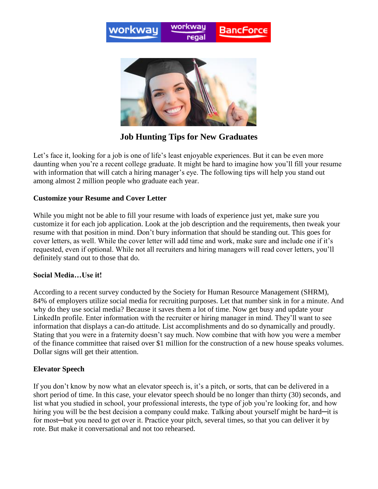



**Job Hunting Tips for New Graduates**

Let's face it, looking for a job is one of life's least enjoyable experiences. But it can be even more daunting when you're a recent college graduate. It might be hard to imagine how you'll fill your resume with information that will catch a hiring manager's eye. The following tips will help you stand out among almost 2 million people who graduate each year.

## **Customize your Resume and Cover Letter**

While you might not be able to fill your resume with loads of experience just yet, make sure you customize it for each job application. Look at the job description and the requirements, then tweak your resume with that position in mind. Don't bury information that should be standing out. This goes for cover letters, as well. While the cover letter will add time and work, make sure and include one if it's requested, even if optional. While not all recruiters and hiring managers will read cover letters, you'll definitely stand out to those that do.

## **Social Media…Use it!**

According to a recent survey conducted by the Society for Human Resource Management (SHRM), 84% of employers utilize social media for recruiting purposes. Let that number sink in for a minute. And why do they use social media? Because it saves them a lot of time. Now get busy and update your LinkedIn profile. Enter information with the recruiter or hiring manager in mind. They'll want to see information that displays a can-do attitude. List accomplishments and do so dynamically and proudly. Stating that you were in a fraternity doesn't say much. Now combine that with how you were a member of the finance committee that raised over \$1 million for the construction of a new house speaks volumes. Dollar signs will get their attention.

## **Elevator Speech**

If you don't know by now what an elevator speech is, it's a pitch, or sorts, that can be delivered in a short period of time. In this case, your elevator speech should be no longer than thirty (30) seconds, and list what you studied in school, your professional interests, the type of job you're looking for, and how hiring you will be the best decision a company could make. Talking about yourself might be hard—it is for most—but you need to get over it. Practice your pitch, several times, so that you can deliver it by rote. But make it conversational and not too rehearsed.